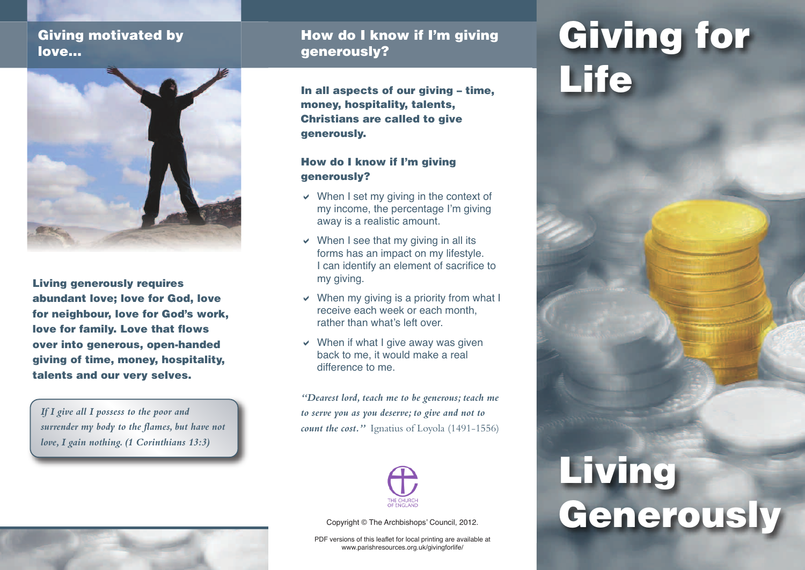### **Giving motivated by love…**



**Living generously requires abundant love; love for God, love for neighbour, love for God's work, love for family. Love that flows over into generous, open-handed giving of time, money, hospitality, talents and our very selves.**

*If I give all I possess to the poor and surrender my body to the flames, but have not love,I gain nothing. (1 Corinthians 13:3)*

### **How do I know if I'm giving**

**In all aspects of our giving – time, money, hospitality, talents, Christians are called to give generously.**

#### **How do I know if I'm giving generously?**

- $\vee$  When I set my giving in the context of my income, the percentage I'm giving away is a realistic amount.
- $\vee$  When I see that my giving in all its forms has an impact on my lifestyle. I can identify an element of sacrifice to my giving.
- $\vee$  When my giving is a priority from what I receive each week or each month, rather than what's left over.
- $\vee$  When if what I give away was given back to me, it would make a real difference to me.

*"Dearest lord, teach me to be generous; teach me to serve you as you deserve; to give and not to count the cost."* Ignatius of Loyola (1491-1556)



Copyright © The Archbishops' Council, 2012.

PDF versions of this leaflet for local printing are available at www.parishresources.org.uk/givingforlife/

# **how do I know if I'm giving Giving for Life**

## **Living Generously**